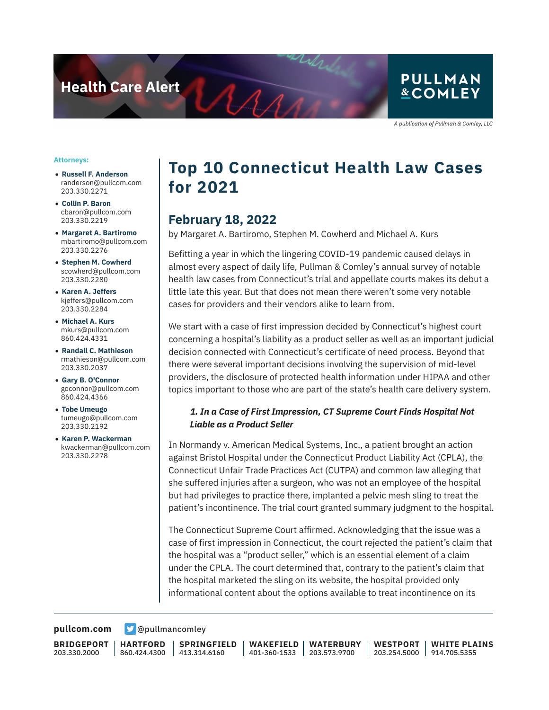**Health Care Alert** 

### **PULLMAN &COMLEY**

A publication of Pullman & Comley, LLC

#### **Attorneys:**

- **Russell F. Anderson** randerson@pullcom.com 203.330.2271
- **Collin P. Baron** cbaron@pullcom.com 203.330.2219
- **Margaret A. Bartiromo** mbartiromo@pullcom.com 203.330.2276
- **Stephen M. Cowherd** scowherd@pullcom.com 203.330.2280
- **Karen A. Jeffers** kjeffers@pullcom.com 203.330.2284
- **Michael A. Kurs** mkurs@pullcom.com 860.424.4331
- **Randall C. Mathieson** rmathieson@pullcom.com 203.330.2037
- **Gary B. O'Connor** goconnor@pullcom.com 860.424.4366
- **Tobe Umeugo** tumeugo@pullcom.com 203.330.2192
- **Karen P. Wackerman** kwackerman@pullcom.com 203.330.2278

## **Top 10 Connecticut Health Law Cases for 2021**

### **February 18, 2022**

 $A_{AB}$ 

by Margaret A. Bartiromo, Stephen M. Cowherd and Michael A. Kurs

Befitting a year in which the lingering COVID-19 pandemic caused delays in almost every aspect of daily life, Pullman & Comley's annual survey of notable health law cases from Connecticut's trial and appellate courts makes its debut a little late this year. But that does not mean there weren't some very notable cases for providers and their vendors alike to learn from.

We start with a case of first impression decided by Connecticut's highest court concerning a hospital's liability as a product seller as well as an important judicial decision connected with Connecticut's certificate of need process. Beyond that there were several important decisions involving the supervision of mid-level providers, the disclosure of protected health information under HIPAA and other topics important to those who are part of the state's health care delivery system.

#### *1. In a Case of First Impression, CT Supreme Court Finds Hospital Not Liable as a Product Seller*

In Normandy v. American Medical Systems, Inc., a patient brought an action against Bristol Hospital under the Connecticut Product Liability Act (CPLA), the Connecticut Unfair Trade Practices Act (CUTPA) and common law alleging that she suffered injuries after a surgeon, who was not an employee of the hospital but had privileges to practice there, implanted a pelvic mesh sling to treat the patient's incontinence. The trial court granted summary judgment to the hospital.

The Connecticut Supreme Court affirmed. Acknowledging that the issue was a case of first impression in Connecticut, the court rejected the patient's claim that the hospital was a "product seller," which is an essential element of a claim under the CPLA. The court determined that, contrary to the patient's claim that the hospital marketed the sling on its website, the hospital provided only informational content about the options available to treat incontinence on its

**[pullcom.com](https://www.pullcom.com) g** [@pullmancomley](https://twitter.com/PullmanComley)

**BRIDGEPORT** 203.330.2000

**HARTFORD** 860.424.4300

**SPRINGFIELD** 413.314.6160

**WAKEFIELD** 401-360-1533 203.573.9700 **WATERBURY**

**WESTPORT** 203.254.5000 **WHITE PLAINS** 914.705.5355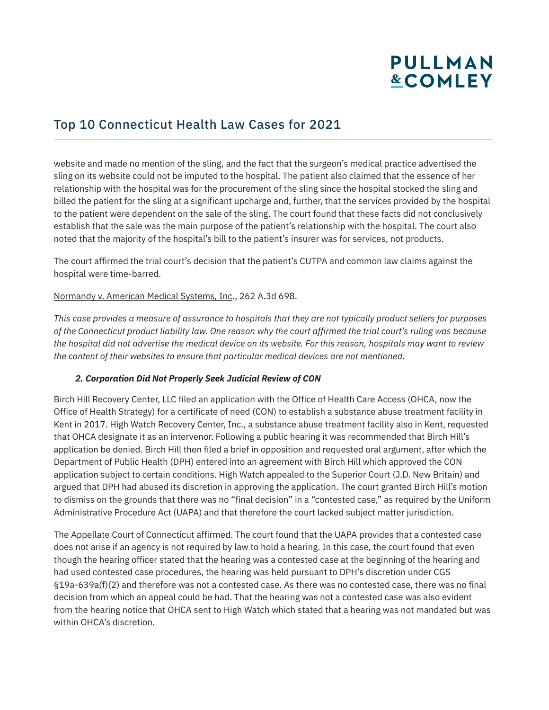### Top 10 Connecticut Health Law Cases for 2021

website and made no mention of the sling, and the fact that the surgeon's medical practice advertised the sling on its website could not be imputed to the hospital. The patient also claimed that the essence of her relationship with the hospital was for the procurement of the sling since the hospital stocked the sling and billed the patient for the sling at a significant upcharge and, further, that the services provided by the hospital to the patient were dependent on the sale of the sling. The court found that these facts did not conclusively establish that the sale was the main purpose of the patient's relationship with the hospital. The court also noted that the majority of the hospital's bill to the patient's insurer was for services, not products.

The court affirmed the trial court's decision that the patient's CUTPA and common law claims against the hospital were time-barred.

#### Normandy v. American Medical Systems, Inc., 262 A.3d 698.

*This case provides a measure of assurance to hospitals that they are not typically product sellers for purposes of the Connecticut product liability law. One reason why the court affirmed the trial court's ruling was because the hospital did not advertise the medical device on its website. For this reason, hospitals may want to review the content of their websites to ensure that particular medical devices are not mentioned.* 

#### *2. Corporation Did Not Properly Seek Judicial Review of CON*

Birch Hill Recovery Center, LLC filed an application with the Office of Health Care Access (OHCA, now the Office of Health Strategy) for a certificate of need (CON) to establish a substance abuse treatment facility in Kent in 2017. High Watch Recovery Center, Inc., a substance abuse treatment facility also in Kent, requested that OHCA designate it as an intervenor. Following a public hearing it was recommended that Birch Hill's application be denied. Birch Hill then filed a brief in opposition and requested oral argument, after which the Department of Public Health (DPH) entered into an agreement with Birch Hill which approved the CON application subject to certain conditions. High Watch appealed to the Superior Court (J.D. New Britain) and argued that DPH had abused its discretion in approving the application. The court granted Birch Hill's motion to dismiss on the grounds that there was no "final decision" in a "contested case," as required by the Uniform Administrative Procedure Act (UAPA) and that therefore the court lacked subject matter jurisdiction.

The Appellate Court of Connecticut affirmed. The court found that the UAPA provides that a contested case does not arise if an agency is not required by law to hold a hearing. In this case, the court found that even though the hearing officer stated that the hearing was a contested case at the beginning of the hearing and had used contested case procedures, the hearing was held pursuant to DPH's discretion under CGS §19a-639a(f)(2) and therefore was not a contested case. As there was no contested case, there was no final decision from which an appeal could be had. That the hearing was not a contested case was also evident from the hearing notice that OHCA sent to High Watch which stated that a hearing was not mandated but was within OHCA's discretion.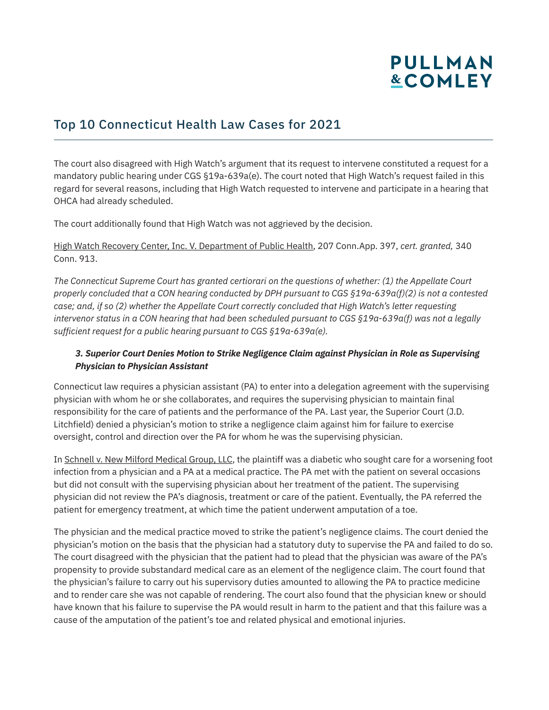### Top 10 Connecticut Health Law Cases for 2021

The court also disagreed with High Watch's argument that its request to intervene constituted a request for a mandatory public hearing under CGS §19a-639a(e). The court noted that High Watch's request failed in this regard for several reasons, including that High Watch requested to intervene and participate in a hearing that OHCA had already scheduled.

The court additionally found that High Watch was not aggrieved by the decision.

High Watch Recovery Center, Inc. V. Department of Public Health, 207 Conn.App. 397, *cert. granted,* 340 Conn. 913.

*The Connecticut Supreme Court has granted certiorari on the questions of whether: (1) the Appellate Court properly concluded that a CON hearing conducted by DPH pursuant to CGS §19a-639a(f)(2) is not a contested case; and, if so (2) whether the Appellate Court correctly concluded that High Watch's letter requesting intervenor status in a CON hearing that had been scheduled pursuant to CGS §19a-639a(f) was not a legally sufficient request for a public hearing pursuant to CGS §19a-639a(e).*

#### *3. Superior Court Denies Motion to Strike Negligence Claim against Physician in Role as Supervising Physician to Physician Assistant*

Connecticut law requires a physician assistant (PA) to enter into a delegation agreement with the supervising physician with whom he or she collaborates, and requires the supervising physician to maintain final responsibility for the care of patients and the performance of the PA. Last year, the Superior Court (J.D. Litchfield) denied a physician's motion to strike a negligence claim against him for failure to exercise oversight, control and direction over the PA for whom he was the supervising physician.

In Schnell v. New Milford Medical Group, LLC, the plaintiff was a diabetic who sought care for a worsening foot infection from a physician and a PA at a medical practice. The PA met with the patient on several occasions but did not consult with the supervising physician about her treatment of the patient. The supervising physician did not review the PA's diagnosis, treatment or care of the patient. Eventually, the PA referred the patient for emergency treatment, at which time the patient underwent amputation of a toe.

The physician and the medical practice moved to strike the patient's negligence claims. The court denied the physician's motion on the basis that the physician had a statutory duty to supervise the PA and failed to do so. The court disagreed with the physician that the patient had to plead that the physician was aware of the PA's propensity to provide substandard medical care as an element of the negligence claim. The court found that the physician's failure to carry out his supervisory duties amounted to allowing the PA to practice medicine and to render care she was not capable of rendering. The court also found that the physician knew or should have known that his failure to supervise the PA would result in harm to the patient and that this failure was a cause of the amputation of the patient's toe and related physical and emotional injuries.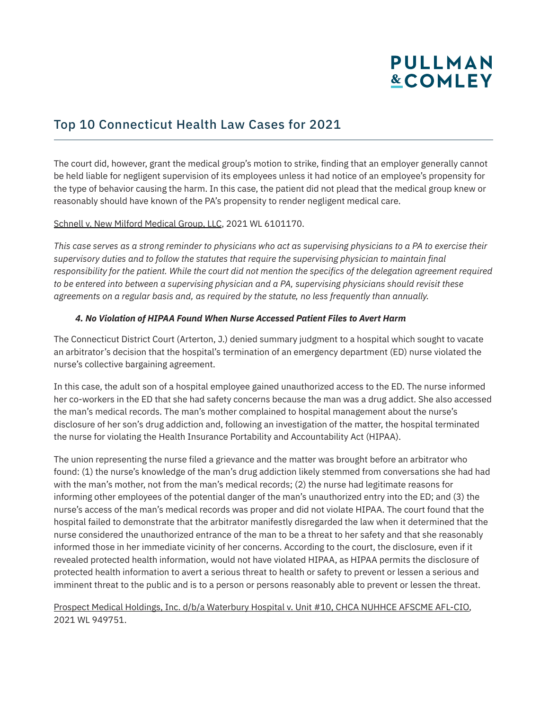### Top 10 Connecticut Health Law Cases for 2021

The court did, however, grant the medical group's motion to strike, finding that an employer generally cannot be held liable for negligent supervision of its employees unless it had notice of an employee's propensity for the type of behavior causing the harm. In this case, the patient did not plead that the medical group knew or reasonably should have known of the PA's propensity to render negligent medical care.

#### Schnell v. New Milford Medical Group, LLC, 2021 WL 6101170.

*This case serves as a strong reminder to physicians who act as supervising physicians to a PA to exercise their supervisory duties and to follow the statutes that require the supervising physician to maintain final responsibility for the patient. While the court did not mention the specifics of the delegation agreement required to be entered into between a supervising physician and a PA, supervising physicians should revisit these agreements on a regular basis and, as required by the statute, no less frequently than annually.*

#### *4. No Violation of HIPAA Found When Nurse Accessed Patient Files to Avert Harm*

The Connecticut District Court (Arterton, J.) denied summary judgment to a hospital which sought to vacate an arbitrator's decision that the hospital's termination of an emergency department (ED) nurse violated the nurse's collective bargaining agreement.

In this case, the adult son of a hospital employee gained unauthorized access to the ED. The nurse informed her co-workers in the ED that she had safety concerns because the man was a drug addict. She also accessed the man's medical records. The man's mother complained to hospital management about the nurse's disclosure of her son's drug addiction and, following an investigation of the matter, the hospital terminated the nurse for violating the Health Insurance Portability and Accountability Act (HIPAA).

The union representing the nurse filed a grievance and the matter was brought before an arbitrator who found: (1) the nurse's knowledge of the man's drug addiction likely stemmed from conversations she had had with the man's mother, not from the man's medical records; (2) the nurse had legitimate reasons for informing other employees of the potential danger of the man's unauthorized entry into the ED; and (3) the nurse's access of the man's medical records was proper and did not violate HIPAA. The court found that the hospital failed to demonstrate that the arbitrator manifestly disregarded the law when it determined that the nurse considered the unauthorized entrance of the man to be a threat to her safety and that she reasonably informed those in her immediate vicinity of her concerns. According to the court, the disclosure, even if it revealed protected health information, would not have violated HIPAA, as HIPAA permits the disclosure of protected health information to avert a serious threat to health or safety to prevent or lessen a serious and imminent threat to the public and is to a person or persons reasonably able to prevent or lessen the threat.

#### Prospect Medical Holdings, Inc. d/b/a Waterbury Hospital v. Unit #10, CHCA NUHHCE AFSCME AFL-CIO, 2021 WL 949751.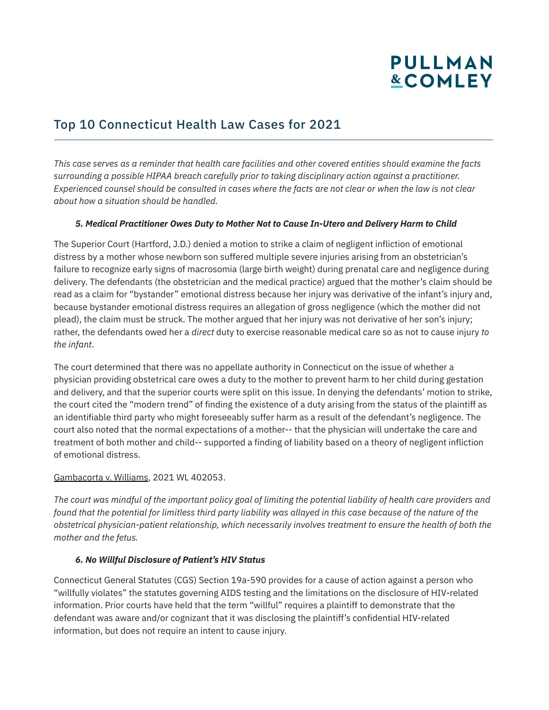## Top 10 Connecticut Health Law Cases for 2021

*This case serves as a reminder that health care facilities and other covered entities should examine the facts surrounding a possible HIPAA breach carefully prior to taking disciplinary action against a practitioner. Experienced counsel should be consulted in cases where the facts are not clear or when the law is not clear about how a situation should be handled.*

#### *5. Medical Practitioner Owes Duty to Mother Not to Cause In-Utero and Delivery Harm to Child*

The Superior Court (Hartford, J.D.) denied a motion to strike a claim of negligent infliction of emotional distress by a mother whose newborn son suffered multiple severe injuries arising from an obstetrician's failure to recognize early signs of macrosomia (large birth weight) during prenatal care and negligence during delivery. The defendants (the obstetrician and the medical practice) argued that the mother's claim should be read as a claim for "bystander" emotional distress because her injury was derivative of the infant's injury and, because bystander emotional distress requires an allegation of gross negligence (which the mother did not plead), the claim must be struck. The mother argued that her injury was not derivative of her son's injury; rather, the defendants owed her a *direct* duty to exercise reasonable medical care so as not to cause injury *to the infant*.

The court determined that there was no appellate authority in Connecticut on the issue of whether a physician providing obstetrical care owes a duty to the mother to prevent harm to her child during gestation and delivery, and that the superior courts were split on this issue. In denying the defendants' motion to strike, the court cited the "modern trend" of finding the existence of a duty arising from the status of the plaintiff as an identifiable third party who might foreseeably suffer harm as a result of the defendant's negligence. The court also noted that the normal expectations of a mother-- that the physician will undertake the care and treatment of both mother and child-- supported a finding of liability based on a theory of negligent infliction of emotional distress.

#### Gambacorta v. Williams, 2021 WL 402053.

*The court was mindful of the important policy goal of limiting the potential liability of health care providers and found that the potential for limitless third party liability was allayed in this case because of the nature of the obstetrical physician-patient relationship, which necessarily involves treatment to ensure the health of both the mother and the fetus.*

### *6. No Willful Disclosure of Patient's HIV Status*

Connecticut General Statutes (CGS) Section 19a-590 provides for a cause of action against a person who "willfully violates" the statutes governing AIDS testing and the limitations on the disclosure of HIV-related information. Prior courts have held that the term "willful" requires a plaintiff to demonstrate that the defendant was aware and/or cognizant that it was disclosing the plaintiff's confidential HIV-related information, but does not require an intent to cause injury.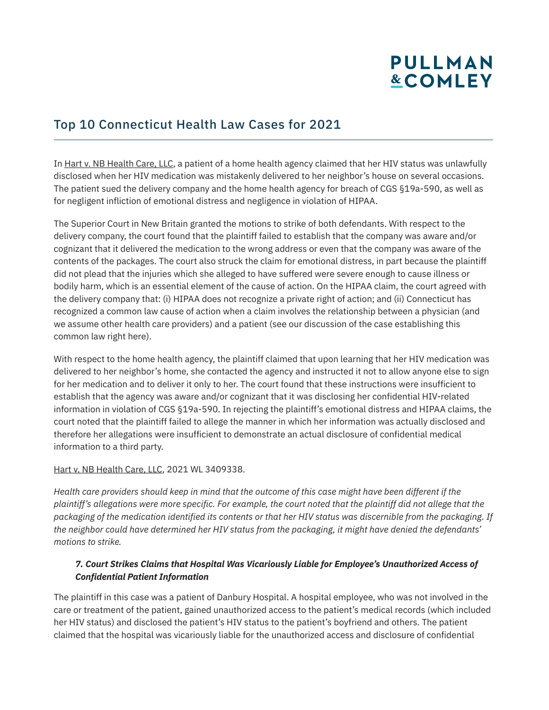## Top 10 Connecticut Health Law Cases for 2021

In Hart v. NB Health Care, LLC, a patient of a home health agency claimed that her HIV status was unlawfully disclosed when her HIV medication was mistakenly delivered to her neighbor's house on several occasions. The patient sued the delivery company and the home health agency for breach of CGS §19a-590, as well as for negligent infliction of emotional distress and negligence in violation of HIPAA.

The Superior Court in New Britain granted the motions to strike of both defendants. With respect to the delivery company, the court found that the plaintiff failed to establish that the company was aware and/or cognizant that it delivered the medication to the wrong address or even that the company was aware of the contents of the packages. The court also struck the claim for emotional distress, in part because the plaintiff did not plead that the injuries which she alleged to have suffered were severe enough to cause illness or bodily harm, which is an essential element of the cause of action. On the HIPAA claim, the court agreed with the delivery company that: (i) HIPAA does not recognize a private right of action; and (ii) Connecticut has recognized a common law cause of action when a claim involves the relationship between a physician (and we assume other health care providers) and a patient (see our discussion of the case establishing this common law right here).

With respect to the home health agency, the plaintiff claimed that upon learning that her HIV medication was delivered to her neighbor's home, she contacted the agency and instructed it not to allow anyone else to sign for her medication and to deliver it only to her. The court found that these instructions were insufficient to establish that the agency was aware and/or cognizant that it was disclosing her confidential HIV-related information in violation of CGS §19a-590. In rejecting the plaintiff's emotional distress and HIPAA claims, the court noted that the plaintiff failed to allege the manner in which her information was actually disclosed and therefore her allegations were insufficient to demonstrate an actual disclosure of confidential medical information to a third party.

#### Hart v. NB Health Care, LLC, 2021 WL 3409338.

*Health care providers should keep in mind that the outcome of this case might have been different if the plaintiff's allegations were more specific. For example, the court noted that the plaintiff did not allege that the packaging of the medication identified its contents or that her HIV status was discernible from the packaging. If the neighbor could have determined her HIV status from the packaging, it might have denied the defendants' motions to strike.*

#### *7. Court Strikes Claims that Hospital Was Vicariously Liable for Employee's Unauthorized Access of Confidential Patient Information*

The plaintiff in this case was a patient of Danbury Hospital. A hospital employee, who was not involved in the care or treatment of the patient, gained unauthorized access to the patient's medical records (which included her HIV status) and disclosed the patient's HIV status to the patient's boyfriend and others. The patient claimed that the hospital was vicariously liable for the unauthorized access and disclosure of confidential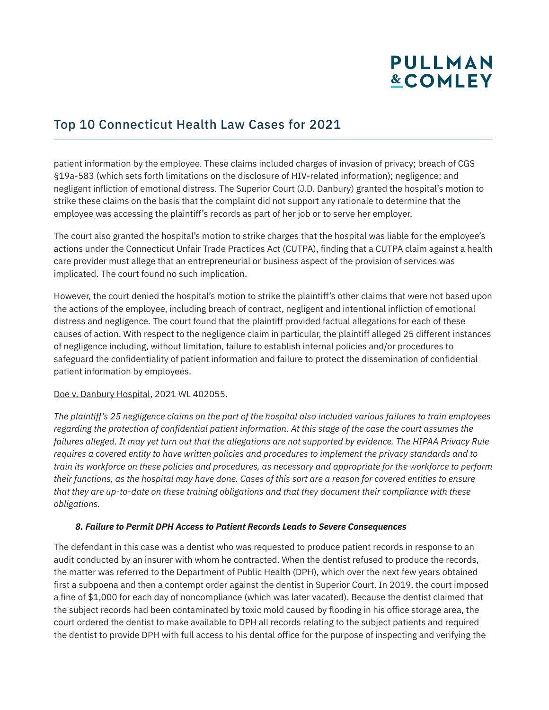### Top 10 Connecticut Health Law Cases for 2021

patient information by the employee. These claims included charges of invasion of privacy; breach of CGS §19a-583 (which sets forth limitations on the disclosure of HIV-related information); negligence; and negligent infliction of emotional distress. The Superior Court (J.D. Danbury) granted the hospital's motion to strike these claims on the basis that the complaint did not support any rationale to determine that the employee was accessing the plaintiff's records as part of her job or to serve her employer.

The court also granted the hospital's motion to strike charges that the hospital was liable for the employee's actions under the Connecticut Unfair Trade Practices Act (CUTPA), finding that a CUTPA claim against a health care provider must allege that an entrepreneurial or business aspect of the provision of services was implicated. The court found no such implication.

However, the court denied the hospital's motion to strike the plaintiff's other claims that were not based upon the actions of the employee, including breach of contract, negligent and intentional infliction of emotional distress and negligence. The court found that the plaintiff provided factual allegations for each of these causes of action. With respect to the negligence claim in particular, the plaintiff alleged 25 different instances of negligence including, without limitation, failure to establish internal policies and/or procedures to safeguard the confidentiality of patient information and failure to protect the dissemination of confidential patient information by employees.

#### Doe v. Danbury Hospital, 2021 WL 402055.

*The plaintiff's 25 negligence claims on the part of the hospital also included various failures to train employees regarding the protection of confidential patient information. At this stage of the case the court assumes the failures alleged. It may yet turn out that the allegations are not supported by evidence. The HIPAA Privacy Rule requires a covered entity to have written policies and procedures to implement the privacy standards and to train its workforce on these policies and procedures, as necessary and appropriate for the workforce to perform their functions, as the hospital may have done. Cases of this sort are a reason for covered entities to ensure that they are up-to-date on these training obligations and that they document their compliance with these obligations.*

#### *8. Failure to Permit DPH Access to Patient Records Leads to Severe Consequences*

The defendant in this case was a dentist who was requested to produce patient records in response to an audit conducted by an insurer with whom he contracted. When the dentist refused to produce the records, the matter was referred to the Department of Public Health (DPH), which over the next few years obtained first a subpoena and then a contempt order against the dentist in Superior Court. In 2019, the court imposed a fine of \$1,000 for each day of noncompliance (which was later vacated). Because the dentist claimed that the subject records had been contaminated by toxic mold caused by flooding in his office storage area, the court ordered the dentist to make available to DPH all records relating to the subject patients and required the dentist to provide DPH with full access to his dental office for the purpose of inspecting and verifying the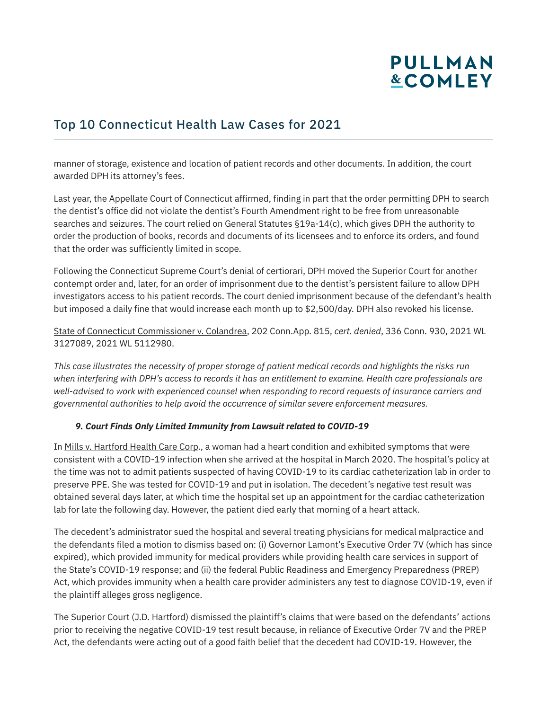### Top 10 Connecticut Health Law Cases for 2021

manner of storage, existence and location of patient records and other documents. In addition, the court awarded DPH its attorney's fees.

Last year, the Appellate Court of Connecticut affirmed, finding in part that the order permitting DPH to search the dentist's office did not violate the dentist's Fourth Amendment right to be free from unreasonable searches and seizures. The court relied on General Statutes §19a-14(c), which gives DPH the authority to order the production of books, records and documents of its licensees and to enforce its orders, and found that the order was sufficiently limited in scope.

Following the Connecticut Supreme Court's denial of certiorari, DPH moved the Superior Court for another contempt order and, later, for an order of imprisonment due to the dentist's persistent failure to allow DPH investigators access to his patient records. The court denied imprisonment because of the defendant's health but imposed a daily fine that would increase each month up to \$2,500/day. DPH also revoked his license.

State of Connecticut Commissioner v. Colandrea, 202 Conn.App. 815, *cert. denied*, 336 Conn. 930, 2021 WL 3127089, 2021 WL 5112980.

*This case illustrates the necessity of proper storage of patient medical records and highlights the risks run when interfering with DPH's access to records it has an entitlement to examine. Health care professionals are well-advised to work with experienced counsel when responding to record requests of insurance carriers and governmental authorities to help avoid the occurrence of similar severe enforcement measures.*

#### *9. Court Finds Only Limited Immunity from Lawsuit related to COVID-19*

In Mills v. Hartford Health Care Corp., a woman had a heart condition and exhibited symptoms that were consistent with a COVID-19 infection when she arrived at the hospital in March 2020. The hospital's policy at the time was not to admit patients suspected of having COVID-19 to its cardiac catheterization lab in order to preserve PPE. She was tested for COVID-19 and put in isolation. The decedent's negative test result was obtained several days later, at which time the hospital set up an appointment for the cardiac catheterization lab for late the following day. However, the patient died early that morning of a heart attack.

The decedent's administrator sued the hospital and several treating physicians for medical malpractice and the defendants filed a motion to dismiss based on: (i) Governor Lamont's Executive Order 7V (which has since expired), which provided immunity for medical providers while providing health care services in support of the State's COVID-19 response; and (ii) the federal Public Readiness and Emergency Preparedness (PREP) Act, which provides immunity when a health care provider administers any test to diagnose COVID-19, even if the plaintiff alleges gross negligence.

The Superior Court (J.D. Hartford) dismissed the plaintiff's claims that were based on the defendants' actions prior to receiving the negative COVID-19 test result because, in reliance of Executive Order 7V and the PREP Act, the defendants were acting out of a good faith belief that the decedent had COVID-19. However, the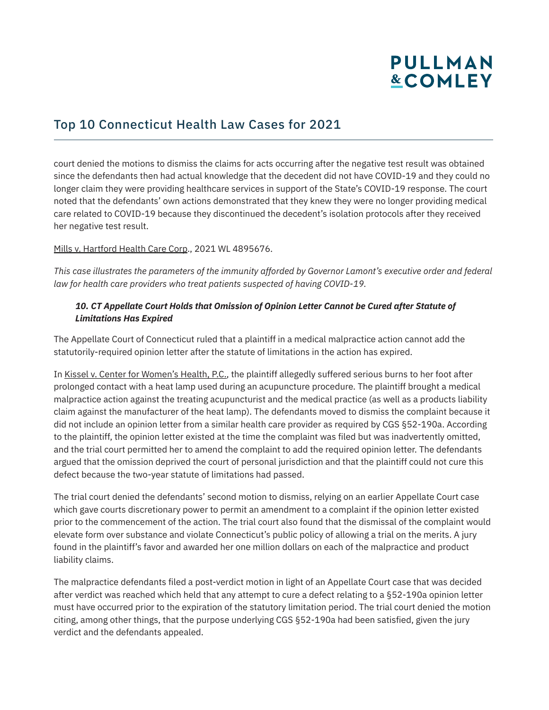### Top 10 Connecticut Health Law Cases for 2021

court denied the motions to dismiss the claims for acts occurring after the negative test result was obtained since the defendants then had actual knowledge that the decedent did not have COVID-19 and they could no longer claim they were providing healthcare services in support of the State's COVID-19 response. The court noted that the defendants' own actions demonstrated that they knew they were no longer providing medical care related to COVID-19 because they discontinued the decedent's isolation protocols after they received her negative test result.

Mills v. Hartford Health Care Corp., 2021 WL 4895676.

*This case illustrates the parameters of the immunity afforded by Governor Lamont's executive order and federal law for health care providers who treat patients suspected of having COVID-19.* 

#### *10. CT Appellate Court Holds that Omission of Opinion Letter Cannot be Cured after Statute of Limitations Has Expired*

The Appellate Court of Connecticut ruled that a plaintiff in a medical malpractice action cannot add the statutorily-required opinion letter after the statute of limitations in the action has expired.

In Kissel v. Center for Women's Health, P.C., the plaintiff allegedly suffered serious burns to her foot after prolonged contact with a heat lamp used during an acupuncture procedure. The plaintiff brought a medical malpractice action against the treating acupuncturist and the medical practice (as well as a products liability claim against the manufacturer of the heat lamp). The defendants moved to dismiss the complaint because it did not include an opinion letter from a similar health care provider as required by CGS §52-190a. According to the plaintiff, the opinion letter existed at the time the complaint was filed but was inadvertently omitted, and the trial court permitted her to amend the complaint to add the required opinion letter. The defendants argued that the omission deprived the court of personal jurisdiction and that the plaintiff could not cure this defect because the two-year statute of limitations had passed.

The trial court denied the defendants' second motion to dismiss, relying on an earlier Appellate Court case which gave courts discretionary power to permit an amendment to a complaint if the opinion letter existed prior to the commencement of the action. The trial court also found that the dismissal of the complaint would elevate form over substance and violate Connecticut's public policy of allowing a trial on the merits. A jury found in the plaintiff's favor and awarded her one million dollars on each of the malpractice and product liability claims.

The malpractice defendants filed a post-verdict motion in light of an Appellate Court case that was decided after verdict was reached which held that any attempt to cure a defect relating to a §52-190a opinion letter must have occurred prior to the expiration of the statutory limitation period. The trial court denied the motion citing, among other things, that the purpose underlying CGS §52-190a had been satisfied, given the jury verdict and the defendants appealed.